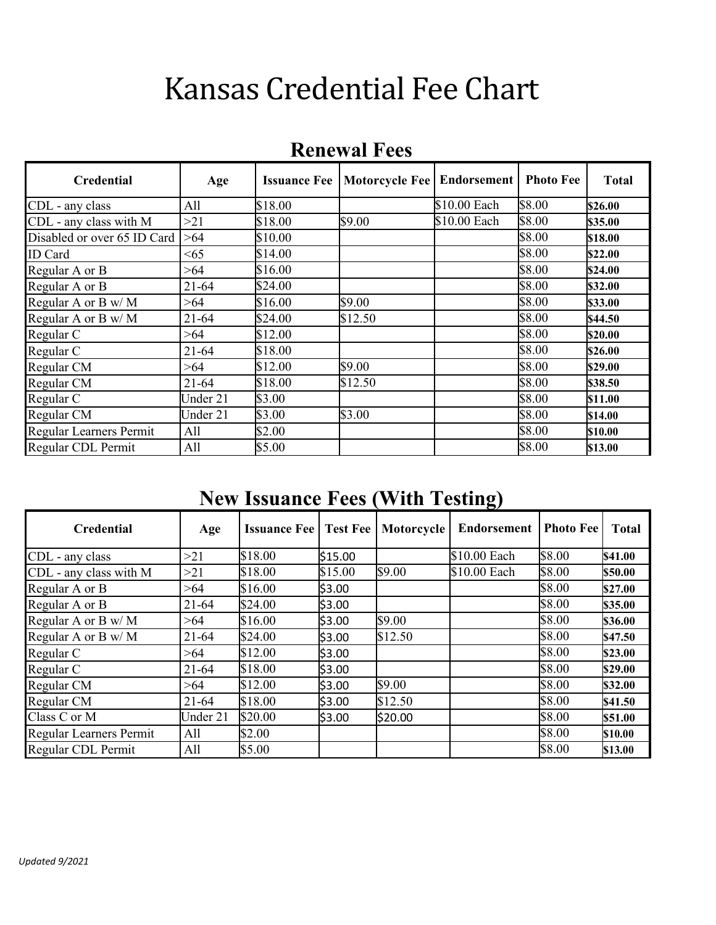# Kansas Credential Fee Chart

| <b>Credential</b>           | Age       | <b>Issuance Fee</b> | Motorcycle Fee   Endorsement |              | <b>Photo Fee</b> | <b>Total</b> |
|-----------------------------|-----------|---------------------|------------------------------|--------------|------------------|--------------|
| CDL - any class             | All       | \$18.00             |                              | \$10.00 Each | \$8.00           | \$26.00      |
| CDL - any class with M      | >21       | \$18.00             | \$9.00                       | \$10.00 Each | \$8.00           | \$35.00      |
| Disabled or over 65 ID Card | >64       | \$10.00             |                              |              | \$8.00           | \$18.00      |
| <b>ID</b> Card              | < 65      | \$14.00             |                              |              | \$8.00           | \$22.00      |
| Regular A or B              | >64       | \$16.00             |                              |              | \$8.00           | \$24.00      |
| Regular A or B              | $21 - 64$ | \$24.00             |                              |              | \$8.00           | \$32.00      |
| Regular A or B w/M          | >64       | \$16.00             | \$9.00                       |              | \$8.00           | \$33.00      |
| Regular A or B w/M          | $21 - 64$ | \$24.00             | \$12.50                      |              | \$8.00           | \$44.50      |
| Regular C                   | >64       | \$12.00             |                              |              | \$8.00           | \$20.00      |
| Regular C                   | $21 - 64$ | \$18.00             |                              |              | \$8.00           | \$26.00      |
| Regular CM                  | >64       | \$12.00             | \$9.00                       |              | \$8.00           | \$29.00      |
| Regular CM                  | $21 - 64$ | \$18.00             | \$12.50                      |              | \$8.00           | \$38.50      |
| Regular C                   | Under 21  | \$3.00              |                              |              | \$8.00           | \$11.00      |
| Regular CM                  | Under 21  | \$3.00              | \$3.00                       |              | \$8.00           | \$14.00      |
| Regular Learners Permit     | All       | \$2.00              |                              |              | \$8.00           | \$10.00      |
| Regular CDL Permit          | All       | \$5.00              |                              |              | \$8.00           | \$13.00      |

#### **Renewal Fees**

#### **New Issuance Fees (With Testing)**

| <b>Credential</b>       | Age       | <b>Issuance Fee   Test Fee  </b> |         | Motorcycle | <b>Endorsement</b> | <b>Photo Fee</b> | <b>Total</b> |
|-------------------------|-----------|----------------------------------|---------|------------|--------------------|------------------|--------------|
| CDL - any class         | >21       | \$18.00                          | \$15.00 |            | \$10.00 Each       | \$8.00           | \$41.00      |
| CDL - any class with M  | >21       | \$18.00                          | \$15.00 | \$9.00     | \$10.00 Each       | \$8.00           | \$50.00      |
| Regular A or B          | >64       | \$16.00                          | \$3.00  |            |                    | \$8.00           | \$27.00      |
| Regular A or B          | $21 - 64$ | \$24.00                          | \$3.00  |            |                    | \$8.00           | \$35.00      |
| Regular A or B w/M      | >64       | \$16.00                          | \$3.00  | \$9.00     |                    | \$8.00           | \$36.00      |
| Regular A or B w/M      | $21 - 64$ | \$24.00                          | \$3.00  | \$12.50    |                    | \$8.00           | \$47.50      |
| Regular C               | >64       | \$12.00                          | \$3.00  |            |                    | \$8.00           | \$23.00      |
| Regular C               | $21 - 64$ | \$18.00                          | \$3.00  |            |                    | \$8.00           | \$29.00      |
| Regular CM              | >64       | \$12.00                          | \$3.00  | \$9.00     |                    | \$8.00           | \$32.00      |
| Regular CM              | $21 - 64$ | \$18.00                          | \$3.00  | \$12.50    |                    | \$8.00           | \$41.50      |
| Class C or M            | Under 21  | \$20.00                          | \$3.00  | \$20.00    |                    | \$8.00           | \$51.00      |
| Regular Learners Permit | All       | \$2.00                           |         |            |                    | \$8.00           | \$10.00      |
| Regular CDL Permit      | All       | \$5.00                           |         |            |                    | \$8.00           | \$13.00      |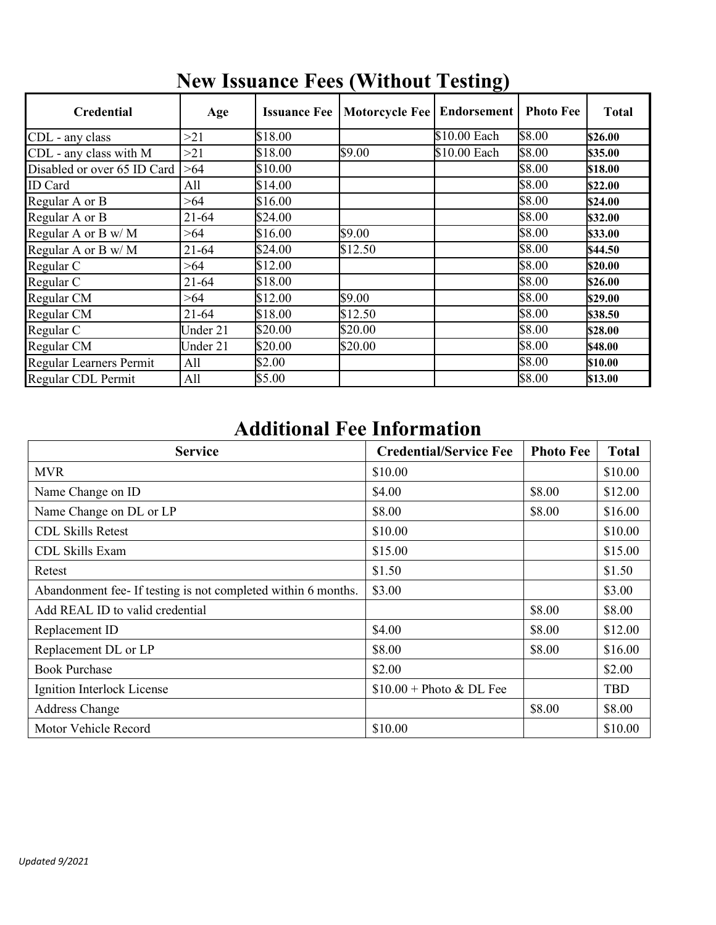|                             |           |                     |                              | $\mathbf{C}^{\prime}$ |                  |              |
|-----------------------------|-----------|---------------------|------------------------------|-----------------------|------------------|--------------|
| <b>Credential</b>           | Age       | <b>Issuance Fee</b> | Motorcycle Fee   Endorsement |                       | <b>Photo Fee</b> | <b>Total</b> |
| CDL - any class             | >21       | \$18.00             |                              | \$10.00 Each          | \$8.00           | \$26.00      |
| CDL - any class with M      | >21       | \$18.00             | \$9.00                       | \$10.00 Each          | \$8.00           | \$35.00      |
| Disabled or over 65 ID Card | >64       | \$10.00             |                              |                       | \$8.00           | \$18.00      |
| ID Card                     | All       | \$14.00             |                              |                       | \$8.00           | \$22.00      |
| Regular A or B              | >64       | \$16.00             |                              |                       | \$8.00           | \$24.00      |
| Regular A or B              | $21 - 64$ | \$24.00             |                              |                       | \$8.00           | \$32.00      |
| Regular A or B w/M          | >64       | \$16.00             | \$9.00                       |                       | \$8.00           | \$33.00      |
| Regular A or B w/M          | $21 - 64$ | \$24.00             | \$12.50                      |                       | \$8.00           | \$44.50      |
| Regular C                   | >64       | \$12.00             |                              |                       | \$8.00           | \$20.00      |
| Regular C                   | $21 - 64$ | \$18.00             |                              |                       | \$8.00           | \$26.00      |
| Regular CM                  | >64       | \$12.00             | \$9.00                       |                       | \$8.00           | \$29.00      |
| Regular CM                  | $21 - 64$ | \$18.00             | \$12.50                      |                       | \$8.00           | \$38.50      |
| Regular C                   | Under 21  | \$20.00             | \$20.00                      |                       | \$8.00           | \$28.00      |
| Regular CM                  | Under 21  | \$20.00             | \$20.00                      |                       | \$8.00           | \$48.00      |
| Regular Learners Permit     | All       | \$2.00              |                              |                       | \$8.00           | \$10.00      |
| Regular CDL Permit          | All       | \$5.00              |                              |                       | \$8.00           | \$13.00      |

## **New Issuance Fees (Without Testing)**

#### **Additional Fee Information**

| <b>Service</b>                                                | <b>Credential/Service Fee</b> | <b>Photo Fee</b> | <b>Total</b> |
|---------------------------------------------------------------|-------------------------------|------------------|--------------|
| <b>MVR</b>                                                    | \$10.00                       |                  | \$10.00      |
| Name Change on ID                                             | \$4.00                        | \$8.00           | \$12.00      |
| Name Change on DL or LP                                       | \$8.00                        | \$8.00           | \$16.00      |
| <b>CDL Skills Retest</b>                                      | \$10.00                       |                  | \$10.00      |
| CDL Skills Exam                                               | \$15.00                       |                  | \$15.00      |
| Retest                                                        | \$1.50                        |                  | \$1.50       |
| Abandonment fee- If testing is not completed within 6 months. | \$3.00                        |                  | \$3.00       |
| Add REAL ID to valid credential                               |                               | \$8.00           | \$8.00       |
| Replacement ID                                                | \$4.00                        | \$8.00           | \$12.00      |
| Replacement DL or LP                                          | \$8.00                        | \$8.00           | \$16.00      |
| <b>Book Purchase</b>                                          | \$2.00                        |                  | \$2.00       |
| Ignition Interlock License                                    | $$10.00 + Photo & DLE$        |                  | <b>TBD</b>   |
| <b>Address Change</b>                                         |                               | \$8.00           | \$8.00       |
| Motor Vehicle Record                                          | \$10.00                       |                  | \$10.00      |